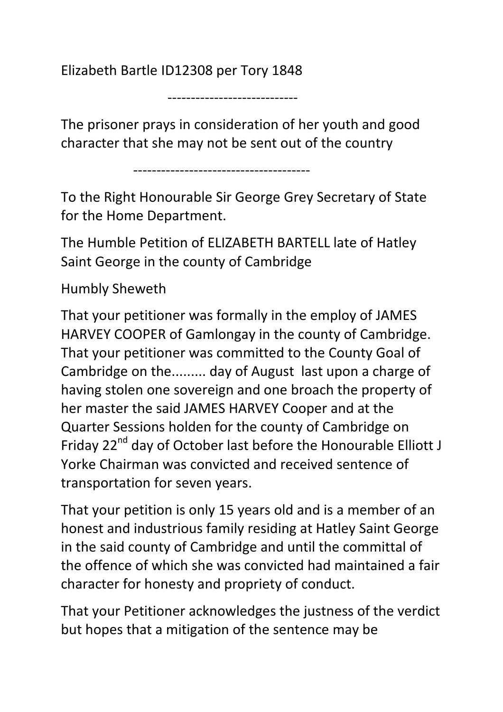Elizabeth Bartle ID12308 per Tory 1848

----------------------------

The prisoner prays in consideration of her youth and good character that she may not be sent out of the country

--------------------------------------

To the Right Honourable Sir George Grey Secretary of State for the Home Department.

The Humble Petition of ELIZABETH BARTELL late of Hatley Saint George in the county of Cambridge

## Humbly Sheweth

That your petitioner was formally in the employ of JAMES HARVEY COOPER of Gamlongay in the county of Cambridge. That your petitioner was committed to the County Goal of Cambridge on the......... day of August last upon a charge of having stolen one sovereign and one broach the property of her master the said JAMES HARVEY Cooper and at the Quarter Sessions holden for the county of Cambridge on Friday 22<sup>nd</sup> day of October last before the Honourable Elliott J Yorke Chairman was convicted and received sentence of transportation for seven years.

That your petition is only 15 years old and is a member of an honest and industrious family residing at Hatley Saint George in the said county of Cambridge and until the committal of the offence of which she was convicted had maintained a fair character for honesty and propriety of conduct.

That your Petitioner acknowledges the justness of the verdict but hopes that a mitigation of the sentence may be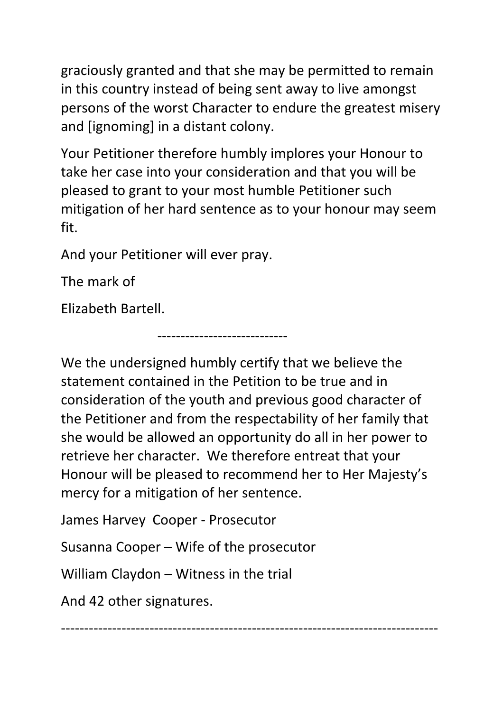graciously granted and that she may be permitted to remain in this country instead of being sent away to live amongst persons of the worst Character to endure the greatest misery and [ignoming] in a distant colony.

Your Petitioner therefore humbly implores your Honour to take her case into your consideration and that you will be pleased to grant to your most humble Petitioner such mitigation of her hard sentence as to your honour may seem fit.

And your Petitioner will ever pray.

The mark of

Elizabeth Bartell.

We the undersigned humbly certify that we believe the statement contained in the Petition to be true and in consideration of the youth and previous good character of the Petitioner and from the respectability of her family that she would be allowed an opportunity do all in her power to retrieve her character. We therefore entreat that your Honour will be pleased to recommend her to Her Majesty's mercy for a mitigation of her sentence.

----------------------------

James Harvey Cooper - Prosecutor

Susanna Cooper – Wife of the prosecutor

William Claydon – Witness in the trial

And 42 other signatures.

---------------------------------------------------------------------------------